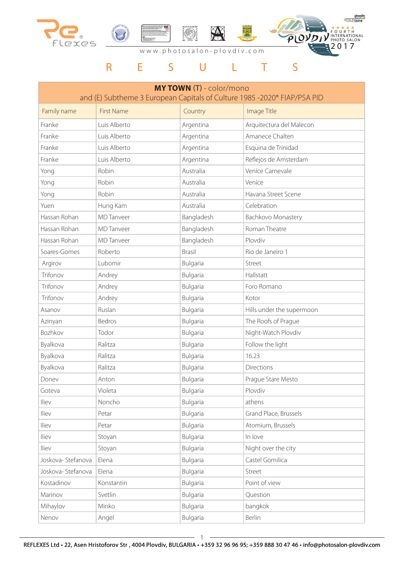

EUROPEAN Ploydiv FOURTH<br>INTERNATIONAL<br>PHOTO SALON  $\overline{P}$  $QV$ 

# R E S U L T S

| <b>MY TOWN (T) - color/mono</b><br>and (E) Subtheme 3 European Capitals of Culture 1985 -2020* FIAP/PSA PID |                   |               |                           |
|-------------------------------------------------------------------------------------------------------------|-------------------|---------------|---------------------------|
| Family name                                                                                                 | <b>First Name</b> | Country       | Image Title               |
| Franke                                                                                                      | Luis Alberto      | Argentina     | Arquitectura del Malecon  |
| Franke                                                                                                      | Luis Alberto      | Argentina     | Amanece Chalten           |
| Franke                                                                                                      | Luis Alberto      | Argentina     | Esquina de Trinidad       |
| Franke                                                                                                      | Luis Alberto      | Argentina     | Reflejos de Amsterdam     |
| Yong                                                                                                        | Robin             | Australia     | Venice Carnevale          |
| Yong                                                                                                        | Robin             | Australia     | Venice                    |
| Yong                                                                                                        | Robin             | Australia     | Havana Street Scene       |
| Yuen                                                                                                        | Hung Kam          | Australia     | Celebration               |
| Hassan Rohan                                                                                                | <b>MD</b> Tanveer | Bangladesh    | Bachkovo Monastery        |
| Hassan Rohan                                                                                                | <b>MD</b> Tanveer | Bangladesh    | Roman Theatre             |
| Hassan Rohan                                                                                                | <b>MD</b> Tanveer | Bangladesh    | Plovdiv                   |
| Soares-Gomes                                                                                                | Roberto           | <b>Brasil</b> | Rio de Janeiro 1          |
| Argirov                                                                                                     | Lubomir           | Bulgaria      | Street                    |
| Trifonov                                                                                                    | Andrey            | Bulgaria      | Hallstatt                 |
| Trifonov                                                                                                    | Andrey            | Bulgaria      | Foro Romano               |
| Trifonov                                                                                                    | Andrey            | Bulgaria      | Kotor                     |
| Asanov                                                                                                      | Ruslan            | Bulgaria      | Hills under the supermoon |
| Azinyan                                                                                                     | Bedros            | Bulgaria      | The Roofs of Prague       |
| Bozhkov                                                                                                     | Todor             | Bulgaria      | Night-Watch Plovdiv       |
| Byalkova                                                                                                    | Ralitza           | Bulgaria      | Follow the light          |
| Byalkova                                                                                                    | Ralitza           | Bulgaria      | 16.23                     |
| Byalkova                                                                                                    | Ralitza           | Bulgaria      | Directions                |
| Donev                                                                                                       | Anton             | Bulgaria      | Prague Stare Mesto        |
| Goteva                                                                                                      | Violeta           | Bulgaria      | Plovdiv                   |
| Iliev                                                                                                       | Noncho            | Bulgaria      | athens                    |
| Iliev                                                                                                       | Petar             | Bulgaria      | Grand Place, Brussels     |
| Iliev                                                                                                       | Petar             | Bulgaria      | Atomium, Brussels         |
| Iliev                                                                                                       | Stoyan            | Bulgaria      | In love                   |
| Iliev                                                                                                       | Stoyan            | Bulgaria      | Night over the city       |
| Joskova-Stefanova                                                                                           | Elena             | Bulgaria      | Castel Gomilica           |
| Joskova-Stefanova                                                                                           | Elena             | Bulgaria      | Street                    |
| Kostadinov                                                                                                  | Konstantin        | Bulgaria      | Point of view             |
| Marinov                                                                                                     | Svetlin           | Bulgaria      | Question                  |
| Mihaylov                                                                                                    | Minko             | Bulgaria      | bangkok                   |
| Nenov                                                                                                       | Angel             | Bulgaria      | Berlin                    |

1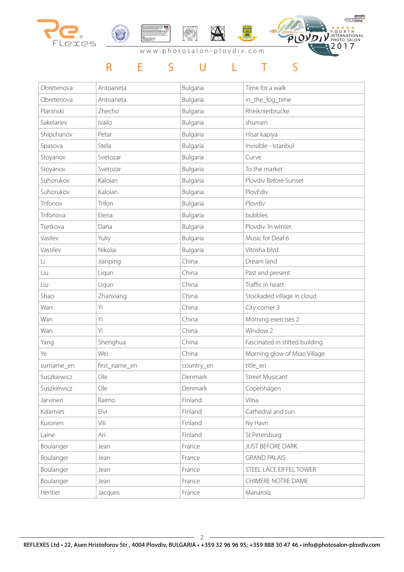

### R E S U L T S

| Obretenova  | Antoaneta     | Bulgaria   | Time for a walk                |
|-------------|---------------|------------|--------------------------------|
| Obretenova  | Antoaneta     | Bulgaria   | in_the_fog_time                |
| Planinski   | Zhecho        | Bulgaria   | Rheiknierbrucke                |
| Sakelariev  | Ivailo        | Bulgaria   | shumen                         |
| Shipchanov  | Petar         | Bulgaria   | Hisar kapiya                   |
| Spasova     | Stela         | Bulgaria   | Invisible - Istanbul           |
| Stoyanov    | Svetozar      | Bulgaria   | Curve                          |
| Stoyanov    | Svetozar      | Bulgaria   | To the market                  |
| Suhorukov   | Kaloian       | Bulgaria   | Plovdiv Before Sunset          |
| Suhorukov   | Kaloian       | Bulgaria   | PlovEdiv                       |
| Trifonov    | Trifon        | Bulgaria   | Plovdiv                        |
| Trifonova   | Elena         | Bulgaria   | bubbles                        |
| Tsetkova    | Dana          | Bulgaria   | Plovdiv. In winter.            |
| Vasilev     | Yuliy         | Bulgaria   | Music for Deaf 6               |
| Vassilev    | Nikolai       | Bulgaria   | Vitosha blvd.                  |
| Li          | Jianping      | China      | Dream land                     |
| Liu         | Liqun         | China      | Past and present               |
| Liu         | Liqun         | China      | Traffic in heart               |
| Shao        | Zhanxiang     | China      | Stockaded village in cloud     |
| Wan         | Yi            | China      | City corner 3                  |
| Wan         | Yi            | China      | Morning exercises 2            |
| Wan         | Yi            | China      | Window 2                       |
| Yang        | Shenghua      | China      | Fascinated in stilted building |
| Ye          | Wei           | China      | Morning glow of Miao Village   |
| surname_en  | first_name_en | country_en | title_en                       |
| Suszkiewicz | Ole           | Denmark    | <b>Street Musicant</b>         |
| Suszkiewicz | Ole           | Denmark    | Copenhagen                     |
| Jarvinen    | Raimo         | Finland    | Vilna                          |
| Kalamies    | Elvi          | Finland    | Cathedral and sun              |
| Kuronen     | Vili          | Finland    | Ny Havn                        |
| Laine       | Ari           | Finland    | St Petersburg                  |
| Boulanger   | Jean          | France     | <b>JUST BEFORE DARK</b>        |
| Boulanger   | Jean          | France     | <b>GRAND PALAIS</b>            |
| Boulanger   | Jean          | France     | STEEL LACE EIFFEL TOWER        |
| Boulanger   | Jean          | France     | CHIMERE NOTRE DAME             |
| Heritier    | Jacques       | France     | Manarola                       |

 $-2$  -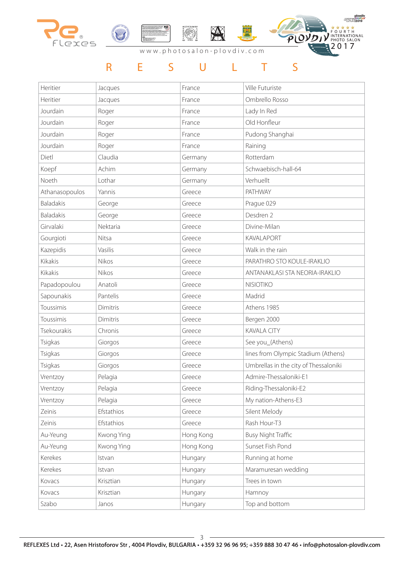

### R E S U L T S

| Heritier         | Jacques    | France    | Ville Futuriste                       |
|------------------|------------|-----------|---------------------------------------|
| Heritier         | Jacques    | France    | Ombrello Rosso                        |
| Jourdain         | Roger      | France    | Lady In Red                           |
| Jourdain         | Roger      | France    | Old Honfleur                          |
| Jourdain         | Roger      | France    | Pudong Shanghai                       |
| Jourdain         | Roger      | France    | Raining                               |
| Dietl            | Claudia    | Germany   | Rotterdam                             |
| Koepf            | Achim      | Germany   | Schwaebisch-hall-64                   |
| Noeth            | Lothar     | Germany   | Verhuellt                             |
| Athanasopoulos   | Yannis     | Greece    | <b>PATHWAY</b>                        |
| <b>Baladakis</b> | George     | Greece    | Prague 029                            |
| <b>Baladakis</b> | George     | Greece    | Desdren 2                             |
| Girvalaki        | Nektaria   | Greece    | Divine-Milan                          |
| Gourgioti        | Nitsa      | Greece    | <b>KAVALAPORT</b>                     |
| Kazepidis        | Vasilis    | Greece    | Walk in the rain                      |
| Kikakis          | Nikos      | Greece    | PARATHRO STO KOULE-IRAKLIO            |
| Kikakis          | Nikos      | Greece    | ANTANAKLASI STA NEORIA-IRAKLIO        |
| Papadopoulou     | Anatoli    | Greece    | <b>NISIOTIKO</b>                      |
| Sapounakis       | Pantelis   | Greece    | Madrid                                |
| Toussimis        | Dimitris   | Greece    | Athens 1985                           |
| Toussimis        | Dimitris   | Greece    | Bergen 2000                           |
| Tsekourakis      | Chronis    | Greece    | <b>KAVALA CITY</b>                    |
| Tsigkas          | Giorgos    | Greece    | See you_(Athens)                      |
| Tsigkas          | Giorgos    | Greece    | lines from Olympic Stadium (Athens)   |
| Tsigkas          | Giorgos    | Greece    | Umbrellas in the city of Thessaloniki |
| Vrentzoy         | Pelagia    | Greece    | Admire-Thessaloniki-E1                |
| Vrentzoy         | Pelagia    | Greece    | Riding-Thessaloniki-E2                |
| Vrentzoy         | Pelagia    | Greece    | My nation-Athens-E3                   |
| Zeinis           | Efstathios | Greece    | Silent Melody                         |
| Zeinis           | Efstathios | Greece    | Rash Hour-T3                          |
| Au-Yeung         | Kwong Ying | Hong Kong | <b>Busy Night Traffic</b>             |
| Au-Yeung         | Kwong Ying | Hong Kong | Sunset Fish Pond                      |
| Kerekes          | Istvan     | Hungary   | Running at home                       |
| Kerekes          | Istvan     | Hungary   | Maramuresan wedding                   |
| Kovacs           | Krisztian  | Hungary   | Trees in town                         |
| Kovacs           | Krisztian  | Hungary   | Hamnoy                                |
| Szabo            | Janos      | Hungary   | Top and bottom                        |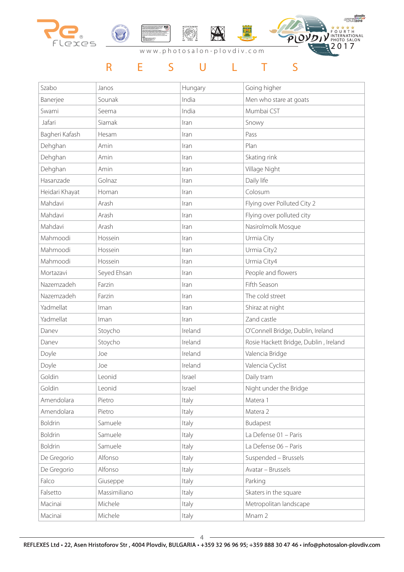

### R E S U L T S

| Szabo          | Janos        | Hungary | Going higher                          |
|----------------|--------------|---------|---------------------------------------|
| Banerjee       | Sounak       | India   | Men who stare at goats                |
| Swami          | Seema        | India   | Mumbai CST                            |
| Jafari         | Siamak       | Iran    | Snowy                                 |
| Bagheri Kafash | Hesam        | Iran    | Pass                                  |
| Dehghan        | Amin         | Iran    | Plan                                  |
| Dehghan        | Amin         | Iran    | Skating rink                          |
| Dehghan        | Amin         | Iran    | Village Night                         |
| Hasanzade      | Golnaz       | Iran    | Daily life                            |
| Heidari Khayat | Homan        | Iran    | Colosum                               |
| Mahdavi        | Arash        | Iran    | Flying over Polluted City 2           |
| Mahdavi        | Arash        | Iran    | Flying over polluted city             |
| Mahdavi        | Arash        | Iran    | Nasirolmolk Mosque                    |
| Mahmoodi       | Hossein      | Iran    | Urmia City                            |
| Mahmoodi       | Hossein      | Iran    | Urmia City2                           |
| Mahmoodi       | Hossein      | Iran    | Urmia City4                           |
| Mortazavi      | Seyed Ehsan  | Iran    | People and flowers                    |
| Nazemzadeh     | Farzin       | Iran    | Fifth Season                          |
| Nazemzadeh     | Farzin       | Iran    | The cold street                       |
| Yadmellat      | Iman         | Iran    | Shiraz at night                       |
| Yadmellat      | Iman         | Iran    | Zand castle                           |
| Danev          | Stoycho      | Ireland | O'Connell Bridge, Dublin, Ireland     |
| Danev          | Stoycho      | Ireland | Rosie Hackett Bridge, Dublin, Ireland |
| Doyle          | Joe          | Ireland | Valencia Bridge                       |
| Doyle          | Joe          | Ireland | Valencia Cyclist                      |
| Goldin         | Leonid       | Israel  | Daily tram                            |
| Goldin         | Leonid       | Israel  | Night under the Bridge                |
| Amendolara     | Pietro       | Italy   | Matera 1                              |
| Amendolara     | Pietro       | Italy   | Matera 2                              |
| Boldrin        | Samuele      | Italy   | Budapest                              |
| <b>Boldrin</b> | Samuele      | Italy   | La Defense 01 - Paris                 |
| <b>Boldrin</b> | Samuele      | Italy   | La Defense 06 - Paris                 |
| De Gregorio    | Alfonso      | Italy   | Suspended - Brussels                  |
| De Gregorio    | Alfonso      | Italy   | Avatar - Brussels                     |
| Falco          | Giuseppe     | Italy   | Parking                               |
| Falsetto       | Massimiliano | Italy   | Skaters in the square                 |
| Macinai        | Michele      | Italy   | Metropolitan landscape                |
| Macinai        | Michele      | Italy   | Mnam 2                                |